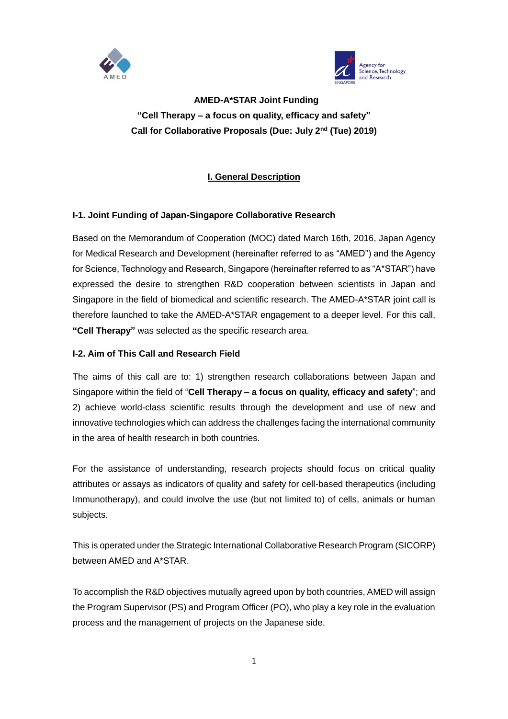



**AMED-A\*STAR Joint Funding "Cell Therapy – a focus on quality, efficacy and safety" Call for Collaborative Proposals (Due: July 2nd (Tue) 2019)**

# **I. General Description**

# **I-1. Joint Funding of Japan-Singapore Collaborative Research**

Based on the Memorandum of Cooperation (MOC) dated March 16th, 2016, Japan Agency for Medical Research and Development (hereinafter referred to as "AMED") and the Agency for Science, Technology and Research, Singapore (hereinafter referred to as "A\*STAR") have expressed the desire to strengthen R&D cooperation between scientists in Japan and Singapore in the field of biomedical and scientific research. The AMED-A\*STAR joint call is therefore launched to take the AMED-A\*STAR engagement to a deeper level. For this call, **"Cell Therapy"** was selected as the specific research area.

### **I-2. Aim of This Call and Research Field**

The aims of this call are to: 1) strengthen research collaborations between Japan and Singapore within the field of "**Cell Therapy – a focus on quality, efficacy and safety**"; and 2) achieve world-class scientific results through the development and use of new and innovative technologies which can address the challenges facing the international community in the area of health research in both countries.

For the assistance of understanding, research projects should focus on critical quality attributes or assays as indicators of quality and safety for cell-based therapeutics (including Immunotherapy), and could involve the use (but not limited to) of cells, animals or human subjects.

This is operated under the Strategic International Collaborative Research Program (SICORP) between AMED and A\*STAR.

To accomplish the R&D objectives mutually agreed upon by both countries, AMED will assign the Program Supervisor (PS) and Program Officer (PO), who play a key role in the evaluation process and the management of projects on the Japanese side.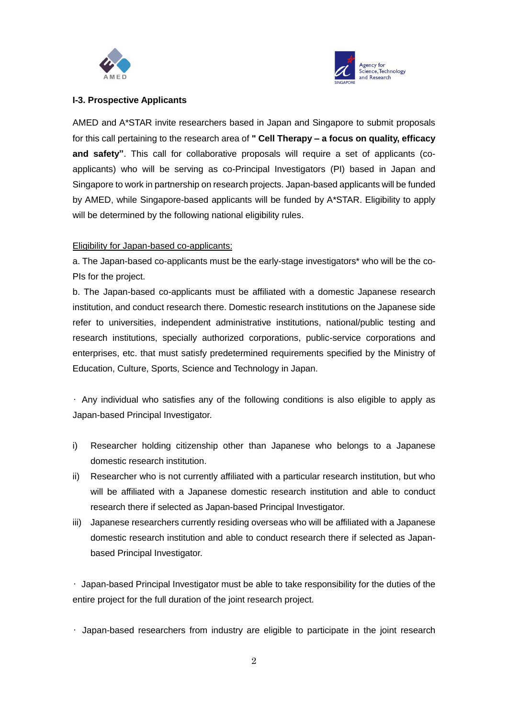



#### **I-3. Prospective Applicants**

AMED and A\*STAR invite researchers based in Japan and Singapore to submit proposals for this call pertaining to the research area of **" Cell Therapy – a focus on quality, efficacy and safety"**. This call for collaborative proposals will require a set of applicants (coapplicants) who will be serving as co-Principal Investigators (PI) based in Japan and Singapore to work in partnership on research projects. Japan-based applicants will be funded by AMED, while Singapore-based applicants will be funded by A\*STAR. Eligibility to apply will be determined by the following national eligibility rules.

### Eligibility for Japan-based co-applicants:

a. The Japan-based co-applicants must be the early-stage investigators\* who will be the co-PIs for the project.

b. The Japan-based co-applicants must be affiliated with a domestic Japanese research institution, and conduct research there. Domestic research institutions on the Japanese side refer to universities, independent administrative institutions, national/public testing and research institutions, specially authorized corporations, public-service corporations and enterprises, etc. that must satisfy predetermined requirements specified by the Ministry of Education, Culture, Sports, Science and Technology in Japan.

• Any individual who satisfies any of the following conditions is also eligible to apply as Japan-based Principal Investigator.

- i) Researcher holding citizenship other than Japanese who belongs to a Japanese domestic research institution.
- ii) Researcher who is not currently affiliated with a particular research institution, but who will be affiliated with a Japanese domestic research institution and able to conduct research there if selected as Japan-based Principal Investigator.
- iii) Japanese researchers currently residing overseas who will be affiliated with a Japanese domestic research institution and able to conduct research there if selected as Japanbased Principal Investigator.

• Japan-based Principal Investigator must be able to take responsibility for the duties of the entire project for the full duration of the joint research project.

• Japan-based researchers from industry are eligible to participate in the joint research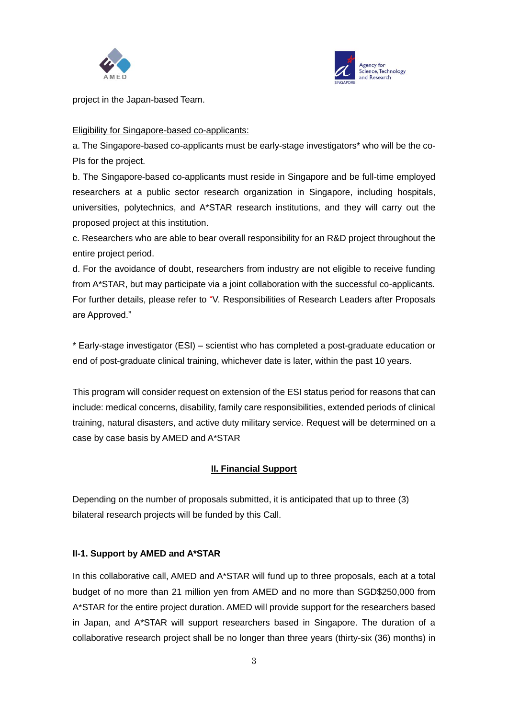



project in the Japan-based Team.

#### Eligibility for Singapore-based co-applicants:

a. The Singapore-based co-applicants must be early-stage investigators\* who will be the co-PIs for the project.

b. The Singapore-based co-applicants must reside in Singapore and be full-time employed researchers at a public sector research organization in Singapore, including hospitals, universities, polytechnics, and A\*STAR research institutions, and they will carry out the proposed project at this institution.

c. Researchers who are able to bear overall responsibility for an R&D project throughout the entire project period.

d. For the avoidance of doubt, researchers from industry are not eligible to receive funding from A\*STAR, but may participate via a joint collaboration with the successful co-applicants. For further details, please refer to "V. Responsibilities of Research Leaders after Proposals are Approved."

\* Early-stage investigator (ESI) – scientist who has completed a post-graduate education or end of post-graduate clinical training, whichever date is later, within the past 10 years.

This program will consider request on extension of the ESI status period for reasons that can include: medical concerns, disability, family care responsibilities, extended periods of clinical training, natural disasters, and active duty military service. Request will be determined on a case by case basis by AMED and A\*STAR

# **II. Financial Support**

Depending on the number of proposals submitted, it is anticipated that up to three (3) bilateral research projects will be funded by this Call.

# **II-1. Support by AMED and A\*STAR**

In this collaborative call, AMED and A\*STAR will fund up to three proposals, each at a total budget of no more than 21 million yen from AMED and no more than SGD\$250,000 from A\*STAR for the entire project duration. AMED will provide support for the researchers based in Japan, and A\*STAR will support researchers based in Singapore. The duration of a collaborative research project shall be no longer than three years (thirty-six (36) months) in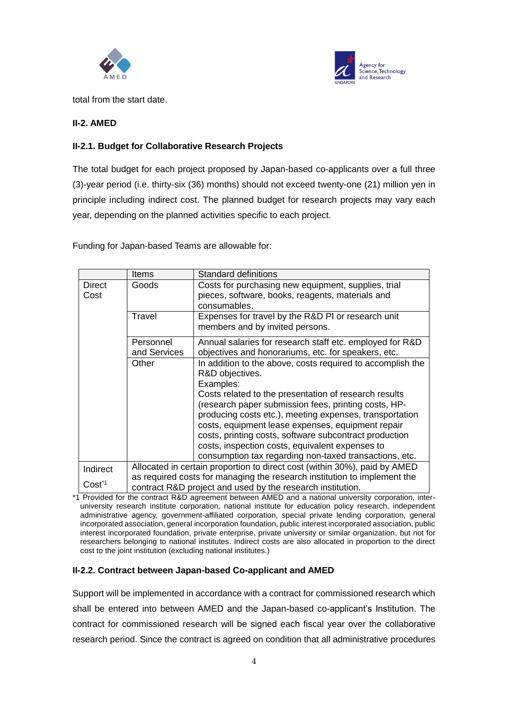



total from the start date.

### **II-2. AMED**

### **II-2.1. Budget for Collaborative Research Projects**

The total budget for each project proposed by Japan-based co-applicants over a full three (3)-year period (i.e. thirty-six (36) months) should not exceed twenty-one (21) million yen in principle including indirect cost. The planned budget for research projects may vary each year, depending on the planned activities specific to each project.

Funding for Japan-based Teams are allowable for:

|                       | <b>Items</b>                                                                                                                           | Standard definitions                                                                                                                                                                                                          |
|-----------------------|----------------------------------------------------------------------------------------------------------------------------------------|-------------------------------------------------------------------------------------------------------------------------------------------------------------------------------------------------------------------------------|
| <b>Direct</b><br>Cost | Goods                                                                                                                                  | Costs for purchasing new equipment, supplies, trial<br>pieces, software, books, reagents, materials and<br>consumables.                                                                                                       |
|                       | Travel                                                                                                                                 | Expenses for travel by the R&D PI or research unit<br>members and by invited persons.                                                                                                                                         |
|                       | Personnel<br>and Services                                                                                                              | Annual salaries for research staff etc. employed for R&D<br>objectives and honorariums, etc. for speakers, etc.                                                                                                               |
|                       | Other                                                                                                                                  | In addition to the above, costs required to accomplish the<br>R&D objectives.<br>Examples:                                                                                                                                    |
|                       |                                                                                                                                        | Costs related to the presentation of research results<br>(research paper submission fees, printing costs, HP-<br>producing costs etc.), meeting expenses, transportation<br>costs, equipment lease expenses, equipment repair |
|                       |                                                                                                                                        | costs, printing costs, software subcontract production<br>costs, inspection costs, equivalent expenses to<br>consumption tax regarding non-taxed transactions, etc.                                                           |
| Indirect              | Allocated in certain proportion to direct cost (within 30%), paid by AMED                                                              |                                                                                                                                                                                                                               |
| Cost <sup>*1</sup>    | as required costs for managing the research institution to implement the<br>contract R&D project and used by the research institution. |                                                                                                                                                                                                                               |

\*1 Provided for the contract R&D agreement between AMED and a national university corporation, interuniversity research institute corporation, national institute for education policy research, independent administrative agency, government-affiliated corporation, special private lending corporation, general incorporated association, general incorporation foundation, public interest incorporated association, public interest incorporated foundation, private enterprise, private university or similar organization, but not for researchers belonging to national institutes. Indirect costs are also allocated in proportion to the direct cost to the joint institution (excluding national institutes.)

#### **II-2.2. Contract between Japan-based Co-applicant and AMED**

Support will be implemented in accordance with a contract for commissioned research which shall be entered into between AMED and the Japan-based co-applicant's Institution. The contract for commissioned research will be signed each fiscal year over the collaborative research period. Since the contract is agreed on condition that all administrative procedures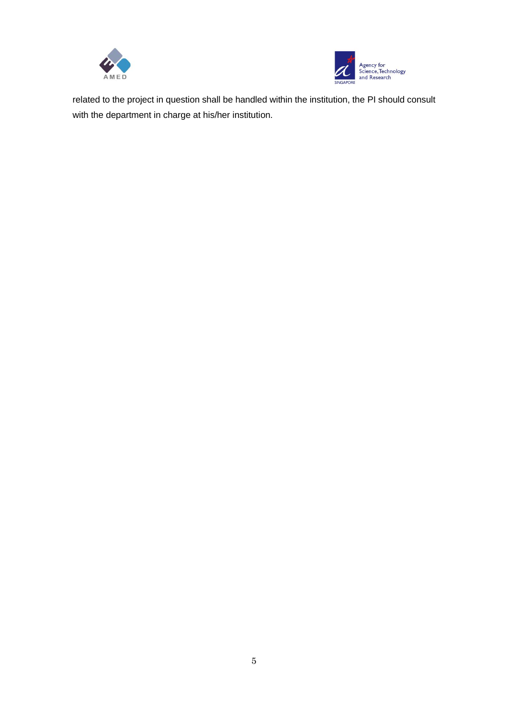



related to the project in question shall be handled within the institution, the PI should consult with the department in charge at his/her institution.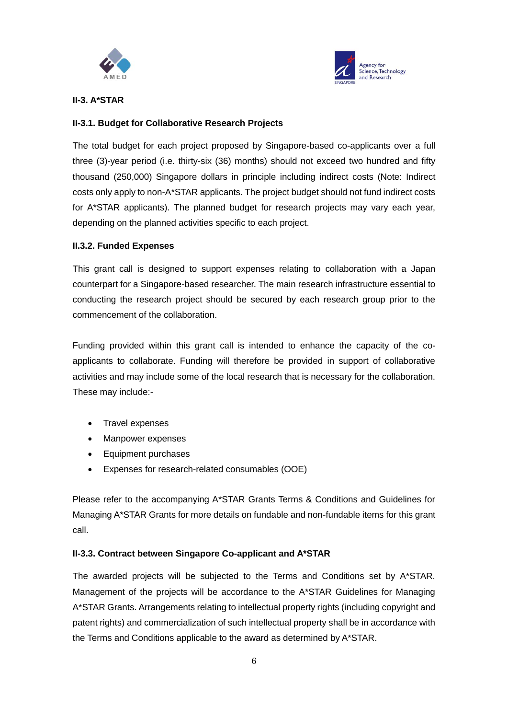



### **II-3. A\*STAR**

# **II-3.1. Budget for Collaborative Research Projects**

The total budget for each project proposed by Singapore-based co-applicants over a full three (3)-year period (i.e. thirty-six (36) months) should not exceed two hundred and fifty thousand (250,000) Singapore dollars in principle including indirect costs (Note: Indirect costs only apply to non-A\*STAR applicants. The project budget should not fund indirect costs for A\*STAR applicants). The planned budget for research projects may vary each year, depending on the planned activities specific to each project.

### **II.3.2. Funded Expenses**

This grant call is designed to support expenses relating to collaboration with a Japan counterpart for a Singapore-based researcher. The main research infrastructure essential to conducting the research project should be secured by each research group prior to the commencement of the collaboration.

Funding provided within this grant call is intended to enhance the capacity of the coapplicants to collaborate. Funding will therefore be provided in support of collaborative activities and may include some of the local research that is necessary for the collaboration. These may include:-

- Travel expenses
- Manpower expenses
- Equipment purchases
- Expenses for research-related consumables (OOE)

Please refer to the accompanying A\*STAR Grants Terms & Conditions and Guidelines for Managing A\*STAR Grants for more details on fundable and non-fundable items for this grant call.

# **II-3.3. Contract between Singapore Co-applicant and A\*STAR**

The awarded projects will be subjected to the Terms and Conditions set by A\*STAR. Management of the projects will be accordance to the A\*STAR Guidelines for Managing A\*STAR Grants. Arrangements relating to intellectual property rights (including copyright and patent rights) and commercialization of such intellectual property shall be in accordance with the Terms and Conditions applicable to the award as determined by A\*STAR.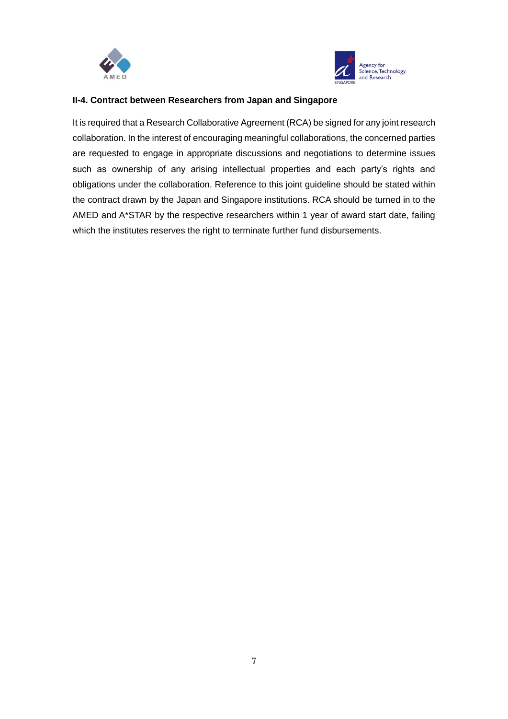



### **II-4. Contract between Researchers from Japan and Singapore**

It is required that a Research Collaborative Agreement (RCA) be signed for any joint research collaboration. In the interest of encouraging meaningful collaborations, the concerned parties are requested to engage in appropriate discussions and negotiations to determine issues such as ownership of any arising intellectual properties and each party's rights and obligations under the collaboration. Reference to this joint guideline should be stated within the contract drawn by the Japan and Singapore institutions. RCA should be turned in to the AMED and A\*STAR by the respective researchers within 1 year of award start date, failing which the institutes reserves the right to terminate further fund disbursements.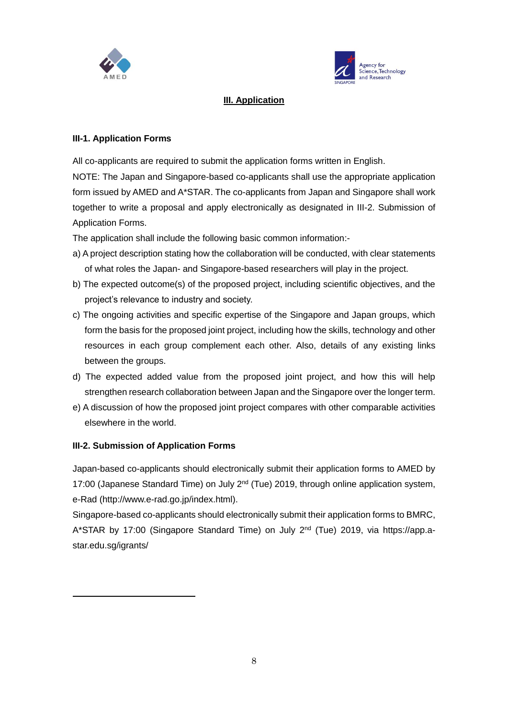



### **III. Application**

#### **III-1. Application Forms**

All co-applicants are required to submit the application forms written in English.

NOTE: The Japan and Singapore-based co-applicants shall use the appropriate application form issued by AMED and A\*STAR. The co-applicants from Japan and Singapore shall work together to write a proposal and apply electronically as designated in III-2. Submission of Application Forms.

The application shall include the following basic common information:-

- a) A project description stating how the collaboration will be conducted, with clear statements of what roles the Japan- and Singapore-based researchers will play in the project.
- b) The expected outcome(s) of the proposed project, including scientific objectives, and the project's relevance to industry and society.
- c) The ongoing activities and specific expertise of the Singapore and Japan groups, which form the basis for the proposed joint project, including how the skills, technology and other resources in each group complement each other. Also, details of any existing links between the groups.
- d) The expected added value from the proposed joint project, and how this will help strengthen research collaboration between Japan and the Singapore over the longer term.
- e) A discussion of how the proposed joint project compares with other comparable activities elsewhere in the world.

#### **III-2. Submission of Application Forms**

Japan-based co-applicants should electronically submit their application forms to AMED by 17:00 (Japanese Standard Time) on July 2<sup>nd</sup> (Tue) 2019, through online application system, e-Rad (http://www.e-rad.go.jp/index.html).

Singapore-based co-applicants should electronically submit their application forms to BMRC, A\*STAR by 17:00 (Singapore Standard Time) on July 2<sup>nd</sup> (Tue) 2019, via https://app.astar.edu.sg/igrants/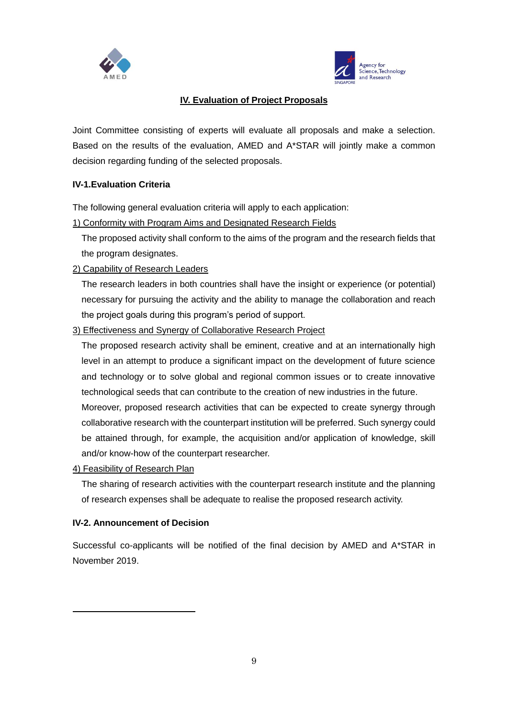



# **IV. Evaluation of Project Proposals**

Joint Committee consisting of experts will evaluate all proposals and make a selection. Based on the results of the evaluation, AMED and A\*STAR will jointly make a common decision regarding funding of the selected proposals.

#### **IV-1.Evaluation Criteria**

The following general evaluation criteria will apply to each application:

1) Conformity with Program Aims and Designated Research Fields

The proposed activity shall conform to the aims of the program and the research fields that the program designates.

### 2) Capability of Research Leaders

The research leaders in both countries shall have the insight or experience (or potential) necessary for pursuing the activity and the ability to manage the collaboration and reach the project goals during this program's period of support.

### 3) Effectiveness and Synergy of Collaborative Research Project

The proposed research activity shall be eminent, creative and at an internationally high level in an attempt to produce a significant impact on the development of future science and technology or to solve global and regional common issues or to create innovative technological seeds that can contribute to the creation of new industries in the future. Moreover, proposed research activities that can be expected to create synergy through

collaborative research with the counterpart institution will be preferred. Such synergy could be attained through, for example, the acquisition and/or application of knowledge, skill and/or know-how of the counterpart researcher.

#### 4) Feasibility of Research Plan

The sharing of research activities with the counterpart research institute and the planning of research expenses shall be adequate to realise the proposed research activity.

#### **IV-2. Announcement of Decision**

Successful co-applicants will be notified of the final decision by AMED and A\*STAR in November 2019.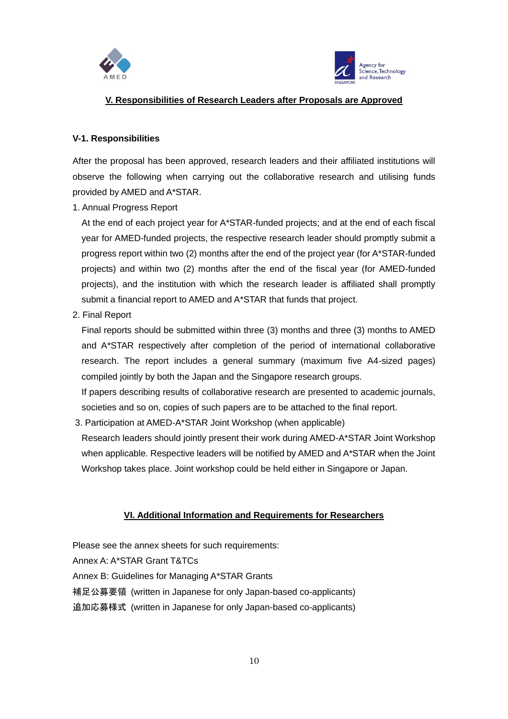



### **V. Responsibilities of Research Leaders after Proposals are Approved**

#### **V-1. Responsibilities**

After the proposal has been approved, research leaders and their affiliated institutions will observe the following when carrying out the collaborative research and utilising funds provided by AMED and A\*STAR.

1. Annual Progress Report

At the end of each project year for A\*STAR-funded projects; and at the end of each fiscal year for AMED-funded projects, the respective research leader should promptly submit a progress report within two (2) months after the end of the project year (for A\*STAR-funded projects) and within two (2) months after the end of the fiscal year (for AMED-funded projects), and the institution with which the research leader is affiliated shall promptly submit a financial report to AMED and A\*STAR that funds that project.

2. Final Report

Final reports should be submitted within three (3) months and three (3) months to AMED and A\*STAR respectively after completion of the period of international collaborative research. The report includes a general summary (maximum five A4-sized pages) compiled jointly by both the Japan and the Singapore research groups.

If papers describing results of collaborative research are presented to academic journals, societies and so on, copies of such papers are to be attached to the final report.

3. Participation at AMED-A\*STAR Joint Workshop (when applicable)

Research leaders should jointly present their work during AMED-A\*STAR Joint Workshop when applicable. Respective leaders will be notified by AMED and A\*STAR when the Joint Workshop takes place. Joint workshop could be held either in Singapore or Japan.

# **VI. Additional Information and Requirements for Researchers**

Please see the annex sheets for such requirements: Annex A: A\*STAR Grant T&TCs Annex B: Guidelines for Managing A\*STAR Grants 補足公募要領 (written in Japanese for only Japan-based co-applicants) 追加応募様式 (written in Japanese for only Japan-based co-applicants)